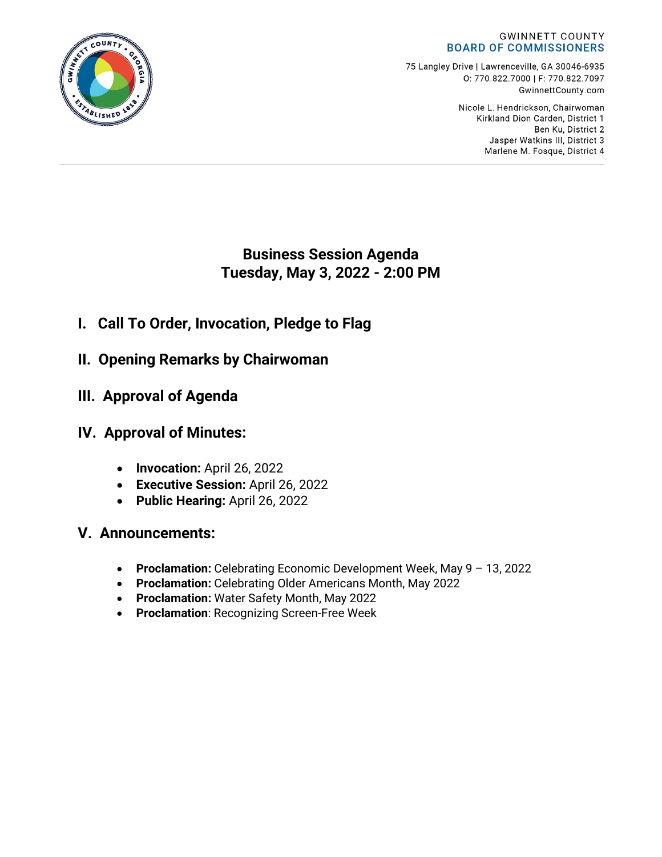

75 Langley Drive | Lawrenceville, GA 30046-6935 0:770.822.7000 | F: 770.822.7097 GwinnettCounty.com

> Nicole L. Hendrickson, Chairwoman Kirkland Dion Carden, District 1 Ben Ku. District 2 Jasper Watkins III, District 3 Marlene M. Fosque, District 4

**Business Session Agenda Tuesday, May 3, 2022 - 2:00 PM**

- **I. Call To Order, Invocation, Pledge to Flag**
- **II. Opening Remarks by Chairwoman**
- **III. Approval of Agenda**
- **IV. Approval of Minutes:**
	- **Invocation:** April 26, 2022
	- **Executive Session:** April 26, 2022
	- **Public Hearing:** April 26, 2022
- **V. Announcements:**
	- **Proclamation:** Celebrating Economic Development Week, May 9 13, 2022
	- **Proclamation:** Celebrating Older Americans Month, May 2022
	- **Proclamation:** Water Safety Month, May 2022
	- **Proclamation**: Recognizing Screen-Free Week

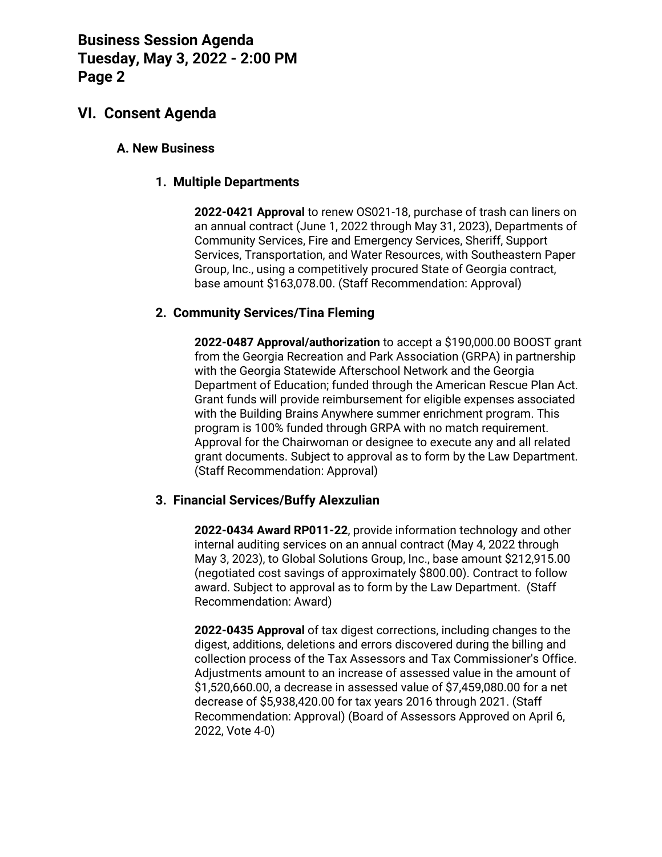## **VI. Consent Agenda**

### **A. New Business**

### **1. Multiple Departments**

**2022-0421 Approval** to renew OS021-18, purchase of trash can liners on an annual contract (June 1, 2022 through May 31, 2023), Departments of Community Services, Fire and Emergency Services, Sheriff, Support Services, Transportation, and Water Resources, with Southeastern Paper Group, Inc., using a competitively procured State of Georgia contract, base amount \$163,078.00. (Staff Recommendation: Approval)

### **2. Community Services/Tina Fleming**

**2022-0487 Approval/authorization** to accept a \$190,000.00 BOOST grant from the Georgia Recreation and Park Association (GRPA) in partnership with the Georgia Statewide Afterschool Network and the Georgia Department of Education; funded through the American Rescue Plan Act. Grant funds will provide reimbursement for eligible expenses associated with the Building Brains Anywhere summer enrichment program. This program is 100% funded through GRPA with no match requirement. Approval for the Chairwoman or designee to execute any and all related grant documents. Subject to approval as to form by the Law Department. (Staff Recommendation: Approval)

#### **3. Financial Services/Buffy Alexzulian**

**2022-0434 Award RP011-22**, provide information technology and other internal auditing services on an annual contract (May 4, 2022 through May 3, 2023), to Global Solutions Group, Inc., base amount \$212,915.00 (negotiated cost savings of approximately \$800.00). Contract to follow award. Subject to approval as to form by the Law Department. (Staff Recommendation: Award)

**2022-0435 Approval** of tax digest corrections, including changes to the digest, additions, deletions and errors discovered during the billing and collection process of the Tax Assessors and Tax Commissioner's Office. Adjustments amount to an increase of assessed value in the amount of \$1,520,660.00, a decrease in assessed value of \$7,459,080.00 for a net decrease of \$5,938,420.00 for tax years 2016 through 2021. (Staff Recommendation: Approval) (Board of Assessors Approved on April 6, 2022, Vote 4-0)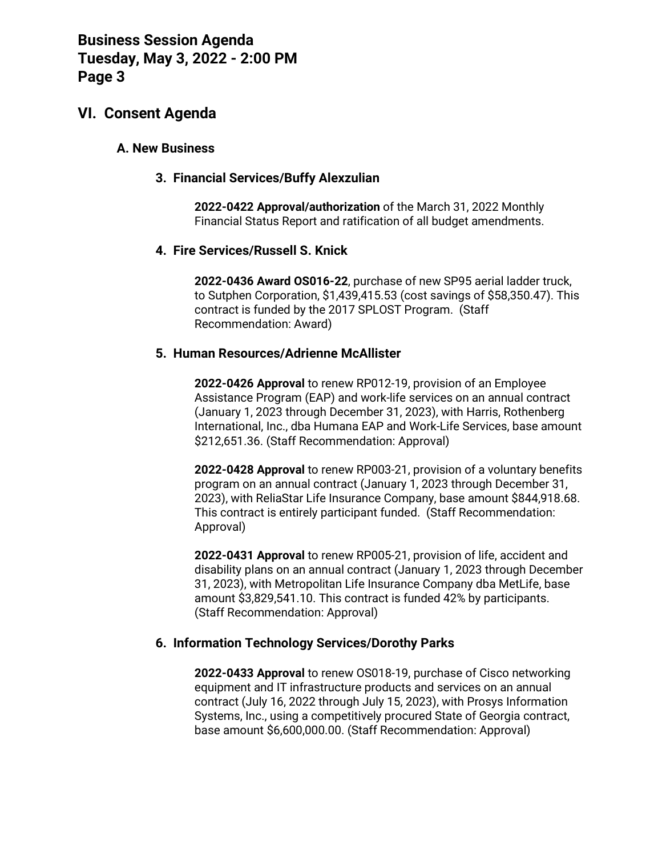## **VI. Consent Agenda**

### **A. New Business**

### **3. Financial Services/Buffy Alexzulian**

**2022-0422 Approval/authorization** of the March 31, 2022 Monthly Financial Status Report and ratification of all budget amendments.

### **4. Fire Services/Russell S. Knick**

**2022-0436 Award OS016-22**, purchase of new SP95 aerial ladder truck, to Sutphen Corporation, \$1,439,415.53 (cost savings of \$58,350.47). This contract is funded by the 2017 SPLOST Program. (Staff Recommendation: Award)

### **5. Human Resources/Adrienne McAllister**

**2022-0426 Approval** to renew RP012-19, provision of an Employee Assistance Program (EAP) and work-life services on an annual contract (January 1, 2023 through December 31, 2023), with Harris, Rothenberg International, Inc., dba Humana EAP and Work-Life Services, base amount \$212,651.36. (Staff Recommendation: Approval)

**2022-0428 Approval** to renew RP003-21, provision of a voluntary benefits program on an annual contract (January 1, 2023 through December 31, 2023), with ReliaStar Life Insurance Company, base amount \$844,918.68. This contract is entirely participant funded. (Staff Recommendation: Approval)

**2022-0431 Approval** to renew RP005-21, provision of life, accident and disability plans on an annual contract (January 1, 2023 through December 31, 2023), with Metropolitan Life Insurance Company dba MetLife, base amount \$3,829,541.10. This contract is funded 42% by participants. (Staff Recommendation: Approval)

### **6. Information Technology Services/Dorothy Parks**

**2022-0433 Approval** to renew OS018-19, purchase of Cisco networking equipment and IT infrastructure products and services on an annual contract (July 16, 2022 through July 15, 2023), with Prosys Information Systems, Inc., using a competitively procured State of Georgia contract, base amount \$6,600,000.00. (Staff Recommendation: Approval)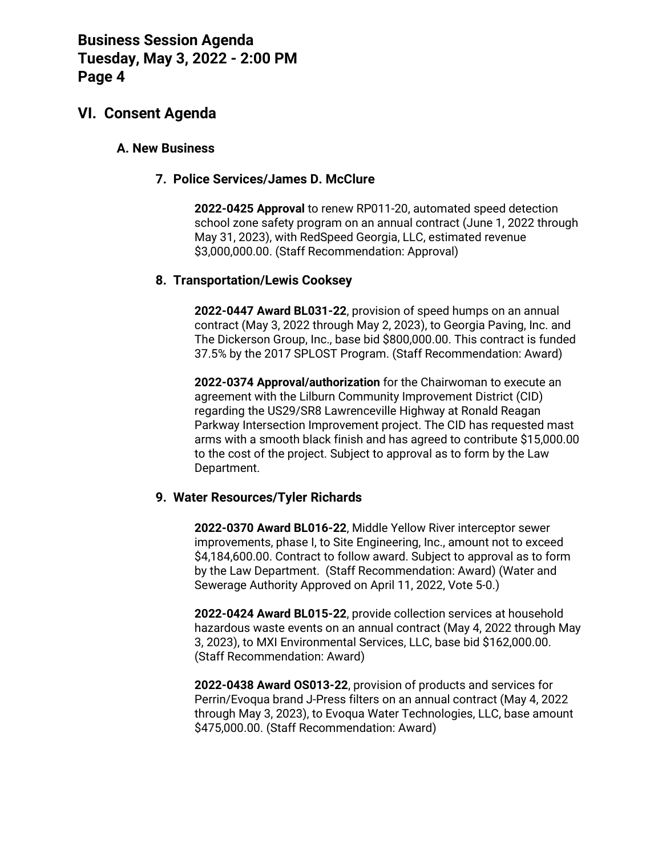## **VI. Consent Agenda**

### **A. New Business**

### **7. Police Services/James D. McClure**

**2022-0425 Approval** to renew RP011-20, automated speed detection school zone safety program on an annual contract (June 1, 2022 through May 31, 2023), with RedSpeed Georgia, LLC, estimated revenue \$3,000,000.00. (Staff Recommendation: Approval)

### **8. Transportation/Lewis Cooksey**

**2022-0447 Award BL031-22**, provision of speed humps on an annual contract (May 3, 2022 through May 2, 2023), to Georgia Paving, Inc. and The Dickerson Group, Inc., base bid \$800,000.00. This contract is funded 37.5% by the 2017 SPLOST Program. (Staff Recommendation: Award)

**2022-0374 Approval/authorization** for the Chairwoman to execute an agreement with the Lilburn Community Improvement District (CID) regarding the US29/SR8 Lawrenceville Highway at Ronald Reagan Parkway Intersection Improvement project. The CID has requested mast arms with a smooth black finish and has agreed to contribute \$15,000.00 to the cost of the project. Subject to approval as to form by the Law Department.

#### **9. Water Resources/Tyler Richards**

**2022-0370 Award BL016-22**, Middle Yellow River interceptor sewer improvements, phase I, to Site Engineering, Inc., amount not to exceed \$4,184,600.00. Contract to follow award. Subject to approval as to form by the Law Department. (Staff Recommendation: Award) (Water and Sewerage Authority Approved on April 11, 2022, Vote 5-0.)

**2022-0424 Award BL015-22**, provide collection services at household hazardous waste events on an annual contract (May 4, 2022 through May 3, 2023), to MXI Environmental Services, LLC, base bid \$162,000.00. (Staff Recommendation: Award)

**2022-0438 Award OS013-22**, provision of products and services for Perrin/Evoqua brand J-Press filters on an annual contract (May 4, 2022 through May 3, 2023), to Evoqua Water Technologies, LLC, base amount \$475,000.00. (Staff Recommendation: Award)